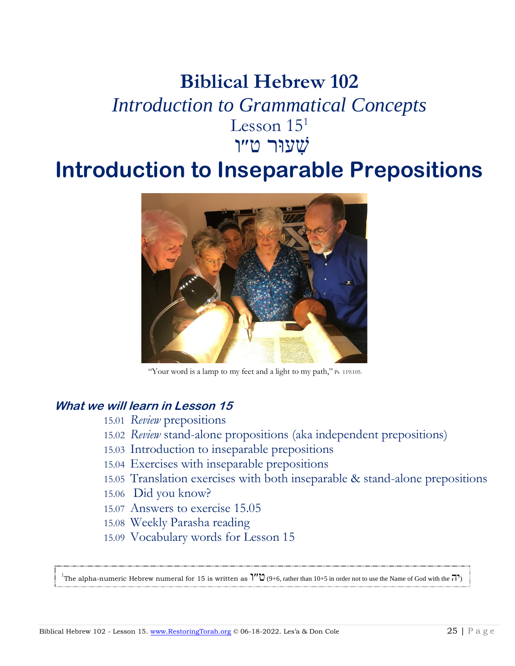# **Biblical Hebrew 102** *Introduction to Grammatical Concepts* Lesson  $15<sup>1</sup>$ שׁ ִעוּר ט״ו

# **Introduction to Inseparable Prepositions**



"Your word is a lamp to my feet and a light to my path," Ps 119:105.

#### **What we will learn in Lesson 15**

- 15.01 *Review* prepositions
- 15.02 *Review* stand-alone propositions (aka independent prepositions)
- 15.03 Introduction to inseparable prepositions
- 15.04 Exercises with inseparable prepositions
- 15.05 Translation exercises with both inseparable & stand-alone prepositions
- 15.06 Did you know?
- 15.07 Answers to exercise 15.05
- 15.08 Weekly Parasha reading
- 15.09 Vocabulary words for Lesson 15

The alpha-numeric Hebrew numeral for 15 is written as  $\tilde{C}$  (9+6, rather than 10+5 in order not to use the Name of God with the  $\overline{O}$ )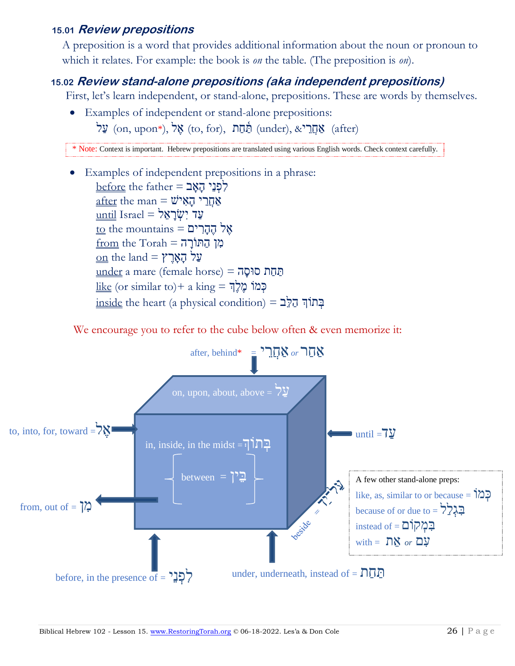## **15.01 Review prepositions**

A preposition is a word that provides additional information about the noun or pronoun to which it relates. For example: the book is *on* the table. (The preposition is *on*).

#### **15.02 Review stand-alone prepositions (aka independent prepositions)**

First, let's learn independent, or stand-alone, prepositions. These are words by themselves.

• Examples of independent or stand-alone prepositions:  $\phi$  (on, upon\*), אֲל (to, for), אֲהַרֵּ $\phi$  (under),  $\&$  (after) (after)

\* Note: Context is important. Hebrew prepositions are translated using various English words. Check context carefully.

• Examples of independent prepositions in a phrase:  $before$  the father = לְפְנֵי הָאָב  $\Delta$ אַחֲרֵי הָאָישׁ $\Delta$  man  $=$   $\Delta$ א עד יִשְׂרַאֵל = Israel עַד  $\text{to the mountains} = \overline{\text{inif}}$  אֱל  $\underline{\text{from}}$  the Torah = מִן הַתּוֹרָה  $\underline{\mathrm{on}}$  the land = עֲל  $under a mare (female horse) = 70<sup>nd</sup> cm$ </u>  $\frac{$ בְּמֹוֹ מֱלֶךְ = like (or similar to)+ a king  $inside$  the heart (a physical condition) = בְּתוֹךְ הַלְּב

We encourage you to refer to the cube below often & even memorize it:

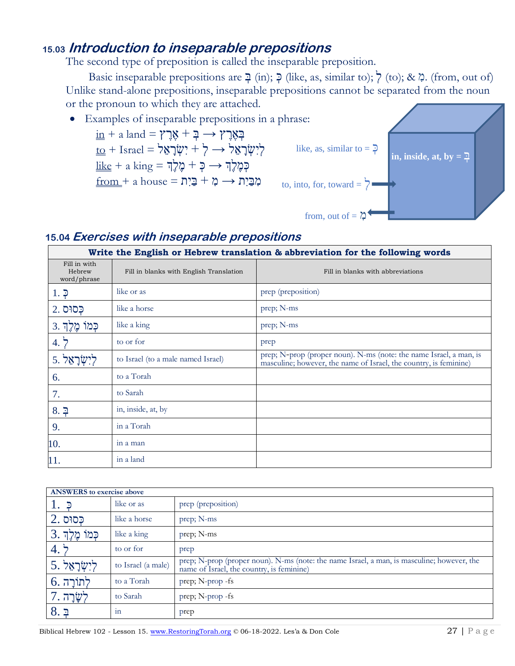# **15.03 Introduction to inseparable prepositions**

The second type of preposition is called the inseparable preposition.

Basic inseparable prepositions are  $\exists$  (in);  $\Diamond$  (like, as, similar to);  $\Diamond$  (to); &  $\Diamond$ . (from, out of) Unlike stand-alone prepositions, inseparable prepositions cannot be separated from the noun or the pronoun to which they are attached.



 $\underline{\text{in}} + \text{a}$  land = בְּ $\Rightarrow \text{a} + \text{b}$  =  $\Rightarrow$  $\underline{\text{to}} + \text{Israel} = \forall \forall \forall \forall \forall \forall \forall$  $\underline{\text{like}} + \text{a}\ \text{king} = \text{g}\zeta$ לְךָ  $\rightarrow$  הָ  $f$ a house = מֻרָּת  $\Rightarrow$  מְבַּיִת





#### **15.04 Exercises with inseparable prepositions**

| Write the English or Hebrew translation & abbreviation for the following words |                                         |                                                                                                                                         |  |  |
|--------------------------------------------------------------------------------|-----------------------------------------|-----------------------------------------------------------------------------------------------------------------------------------------|--|--|
| Fill in with<br>Hebrew<br>word/phrase                                          | Fill in blanks with English Translation | Fill in blanks with abbreviations                                                                                                       |  |  |
| $1.$ $\overline{2}$                                                            | like or as                              | prep (preposition)                                                                                                                      |  |  |
| פְסוּס 2.                                                                      | like a horse                            | prep; N-ms                                                                                                                              |  |  |
| כְּמוֹ מֶּלֶךְ 3.                                                              | like a king                             | prep; N-ms                                                                                                                              |  |  |
| 4. $\frac{1}{2}$                                                               | to or for                               | prep                                                                                                                                    |  |  |
| 5.7                                                                            | to Israel (to a male named Israel)      | prep; N-prop (proper noun). N-ms (note: the name Israel, a man, is<br>masculine; however, the name of Israel, the country, is feminine) |  |  |
| 6.                                                                             | to a Torah                              |                                                                                                                                         |  |  |
| 7.                                                                             | to Sarah                                |                                                                                                                                         |  |  |
| $8.$ 구                                                                         | in, inside, at, by                      |                                                                                                                                         |  |  |
| 9.                                                                             | in a Torah                              |                                                                                                                                         |  |  |
| 10.                                                                            | in a man                                |                                                                                                                                         |  |  |
| 11.                                                                            | in a land                               |                                                                                                                                         |  |  |

| <b>ANSWERS</b> to exercise above |                    |                                                                                                                                         |  |  |
|----------------------------------|--------------------|-----------------------------------------------------------------------------------------------------------------------------------------|--|--|
| 1. $\bar{P}$                     | like or as         | prep (preposition)                                                                                                                      |  |  |
| $2.$ פסוּס                       | like a horse       | prep; N-ms                                                                                                                              |  |  |
| כִּמוֹ מֶלֶךְ .3                 | like a king        | prep; N-ms                                                                                                                              |  |  |
| 4.5                              | to or for          | prep                                                                                                                                    |  |  |
| לִישָׂרָאֵל. 5                   | to Israel (a male) | prep; N-prop (proper noun). N-ms (note: the name Israel, a man, is masculine; however, the<br>name of Israel, the country, is feminine) |  |  |
| $6.7$ לתורה                      | to a Torah         | prep; N-prop -fs                                                                                                                        |  |  |
| לְשָׂרָה .7                      | to Sarah           | prep; N-prop -fs                                                                                                                        |  |  |
| 8.7                              | 1n                 | prep                                                                                                                                    |  |  |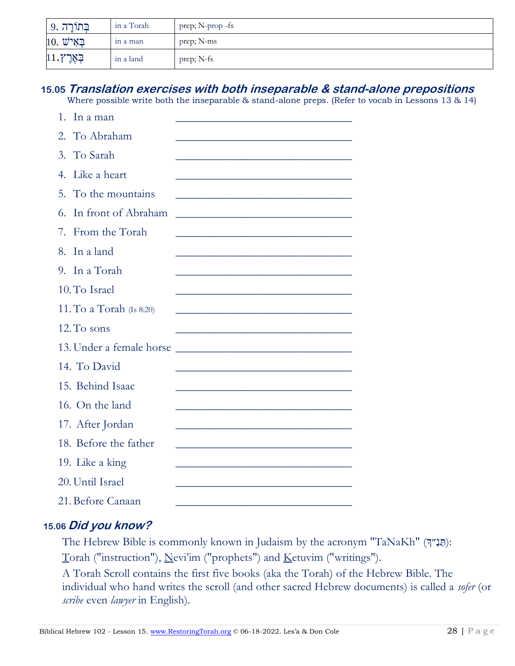| בְּתוֹרָה .9  | in a Torah | prep; N-prop -fs |
|---------------|------------|------------------|
| $10.$ באיש    | in a man   | prep; N-ms       |
| $11.7$ בְאֶרֶ | in a land  | prep; N-fs       |

# **15.05 Translation exercises with both inseparable & stand-alone prepositions**

Where possible write both the inseparable & stand-alone preps. (Refer to vocab in Lessons 13 & 14)

| In a man<br>1.                                                                                                                                   |  |  |
|--------------------------------------------------------------------------------------------------------------------------------------------------|--|--|
| 2. To Abraham                                                                                                                                    |  |  |
| To Sarah<br>$\mathfrak{Z}$ .                                                                                                                     |  |  |
| Like a heart<br>$\overline{4}$ .                                                                                                                 |  |  |
| 5.<br>To the mountains                                                                                                                           |  |  |
| In front of Abraham<br>6.                                                                                                                        |  |  |
| From the Torah<br>7.                                                                                                                             |  |  |
| In a land<br>8.                                                                                                                                  |  |  |
| 9. In a Torah                                                                                                                                    |  |  |
| 10. To Israel                                                                                                                                    |  |  |
| 11. To a Torah (Is 8:20)                                                                                                                         |  |  |
| 12. To sons                                                                                                                                      |  |  |
| 13. Under a female horse<br><u> 1999 - Johann John Stone, mars eta bainar eta baina eta baina eta baina eta baina eta baina eta baina eta ba</u> |  |  |
| 14. To David                                                                                                                                     |  |  |
| 15. Behind Isaac                                                                                                                                 |  |  |
| 16. On the land                                                                                                                                  |  |  |
| 17. After Jordan                                                                                                                                 |  |  |
| 18. Before the father                                                                                                                            |  |  |
| 19. Like a king                                                                                                                                  |  |  |
| 20. Until Israel                                                                                                                                 |  |  |
| 21. Before Canaan                                                                                                                                |  |  |

#### **15.06 Did you know?**

The Hebrew Bible is commonly known in Judaism by the acronym "TaNaKh" (תַּנַ"דָּ): Torah ("instruction"), Nevi'im ("prophets") and Ketuvim ("writings").

A Torah Scroll contains the first five books (aka the Torah) of the Hebrew Bible. The individual who hand writes the scroll (and other sacred Hebrew documents) is called a *sofer* (or *scribe* even *lawyer* in English).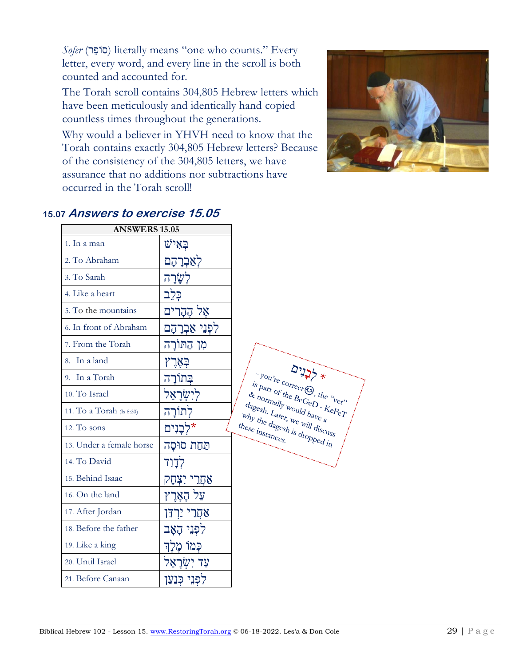*Sofer* (רֵופֹס (literally means "one who counts." Every letter, every word, and every line in the scroll is both counted and accounted for.

The Torah scroll contains 304,805 Hebrew letters which have been meticulously and identically hand copied countless times throughout the generations.

Why would a believer in YHVH need to know that the Torah contains exactly 304,805 Hebrew letters? Because of the consistency of the 304,805 letters, we have assurance that no additions nor subtractions have occurred in the Torah scroll!



| <b>ANSWERS 15.05</b>     |                        |                                                                                                            |
|--------------------------|------------------------|------------------------------------------------------------------------------------------------------------|
| 1. In a man              | ײַאִיש                 |                                                                                                            |
| 2. To Abraham            | לאַבְרָהָם             |                                                                                                            |
| 3. To Sarah              | לִשֲׂרָה               |                                                                                                            |
| 4. Like a heart          | כִּלְב                 |                                                                                                            |
| 5. To the mountains      | אֶל הֶהָרִים           |                                                                                                            |
| 6. In front of Abraham   | לִפְנֵי אַבְרָהָם      |                                                                                                            |
| 7. From the Torah        | מן התורה               |                                                                                                            |
| In a land<br>8.          | בּאַרץ                 |                                                                                                            |
| 9. In a Torah            | בִּתוֹרַה              | $y_{0q}$ <sub>te</sub>                                                                                     |
| 10. To Israel            | לישׂראל                | is part of<br>$\alpha_{\textit{hor}}$                                                                      |
| 11. To a Torah (Is 8:20) | לתורה                  | $d_{\text{agesh.}\_L_{\text{alt}}}$                                                                        |
| 12. To sons              | *לִבַנִים              | $w_{\text{dy}}$ the dage<br>$th_{\text{e}_{\text{se}}}\nmid_{\text{in}_{\text{Sta}_{\text{f}_{\text{c}}}}$ |
| 13. Under a female horse | תַּחַת סוּסָה          |                                                                                                            |
| 14. To David             | לְדָוד                 |                                                                                                            |
| 15. Behind Isaac         | <u>אַחֲרֵי יִצְהָק</u> |                                                                                                            |
| 16. On the land          | על הארץ                |                                                                                                            |
| 17. After Jordan         | אַחָרִי יַרְדֵּן       |                                                                                                            |
| 18. Before the father    | לִפְנֵי הָאָב          |                                                                                                            |
| 19. Like a king          | כִּמוֹ מֶלֶךְ          |                                                                                                            |
| 20. Until Israel         | עַד יִשְׂרַאֵל         |                                                                                                            |
| 21. Before Canaan        | לִפְנֵי כְּנַעַן       |                                                                                                            |

#### . **15.07 Answers to exercise 15.05**

 $2225 +$  $F_{\text{c}}$ <br>  $F_{\text{th}_\text{c}}$   $F_{\text{th}_\text{c}}$   $F_{\text{th}_\text{c}}$   $F_{\text{th}_\text{c}}$   $F_{\text{th}_\text{c}}$   $F_{\text{th}_\text{c}}$   $F_{\text{th}_\text{c}}$   $F_{\text{th}_\text{c}}$   $F_{\text{th}_\text{c}}$  $\begin{array}{l} \epsilon_{t_1} \epsilon_{t_2} \epsilon_{t_3} \epsilon_{t_4} \epsilon_{t_5} \epsilon_{t_6} \epsilon_{t_7} \epsilon_{t_7} \epsilon_{t_7} \epsilon_{t_7} \epsilon_{t_7} \epsilon_{t_7} \epsilon_{t_7} \epsilon_{t_7} \epsilon_{t_7} \epsilon_{t_7} \epsilon_{t_7} \epsilon_{t_7} \epsilon_{t_7} \epsilon_{t_7} \epsilon_{t_7} \epsilon_{t_7} \epsilon_{t_7} \epsilon_{t_7} \epsilon_{t_7} \epsilon_{t_7} \epsilon_{t_7} \epsilon_{t_7} \epsilon_{t_7} \epsilon_{t_7} \epsilon_{$  $\psi_{\text{Woul}}/\psi_{\text{Woul}}/\psi_{\text{Poul}}/\psi_{\text{CFT}}$  $\frac{d}{dt} \frac{d}{dt} \frac{d}{dt} \frac{d}{dt} \frac{d}{dt} \frac{d}{dt} \frac{d}{dt} \frac{d}{dt} \frac{d}{dt} \frac{d}{dt} \frac{d}{dt} \frac{d}{dt} \frac{d}{dt} \frac{d}{dt} \frac{d}{dt} \frac{d}{dt} \frac{d}{dt} \frac{d}{dt} \frac{d}{dt} \frac{d}{dt} \frac{d}{dt} \frac{d}{dt} \frac{d}{dt} \frac{d}{dt} \frac{d}{dt} \frac{d}{dt} \frac{d}{dt} \frac{d}{dt} \frac{d}{dt} \frac{d}{dt} \frac{d}{dt} \frac{$ s we will discuss<br>esh is dropped in